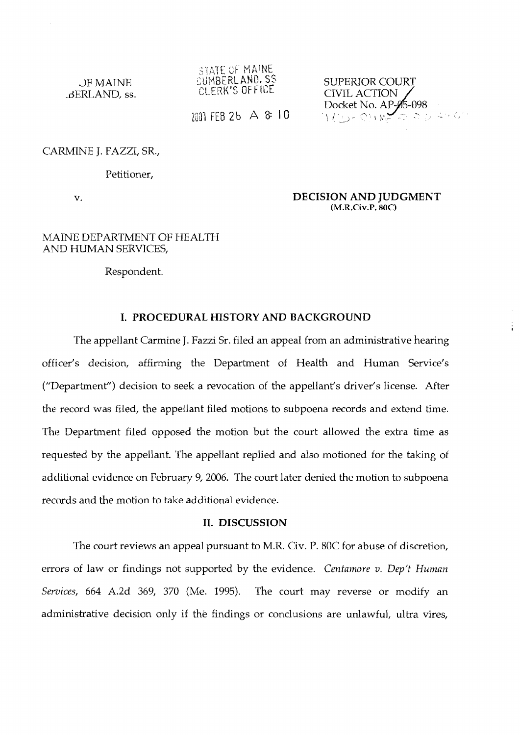*-r.?-r.* **41 %-I-** 2 **as/** :.lh\i~k  $\circ$ UMBERLAND, SS

CUMBERLAND, SS SUPERIOR COURT<br>CLERK'S OFFICE CIVIL ACTION SUPERIOR COURT<br>CIVIL ACTION<br>Docket No. AP-**0**5-098  $2001$  FEB 2b A 8: 10 Docket No. AP-05-098

CARMINE J. FAZZI, SR.,

Petitioner,

v.

**DECISION AND JUDGMENT (M.R.Civ.P. 80C)** 

## MAINE DEPARTMENT OF HEALTH AND HUMAN SERVICES,

Respondent.

## **I. PROCEDURAL HISTORY AND BACKGROUND**

The appellant Carmine J. Fazzi Sr. filed an appeal from an administrative hearing officer's decision, affirming the Department of Health and Human Service's ("Department") decision to seek a revocation of the appellant's driver's license. After the record was filed, the appellant filed motions to subpoena records and extend time. The Department filed opposed the motion but the court allowed the extra time as requested by the appellant. The appellant replied and also motioned for the taking of additional evidence on February 9,2006. The court later denied the motion to subpoena records and the motion to take additional evidence.

## **11. DISCUSSION**

The court reviews an appeal pursuant to M.R. Civ. P. 80C for abuse of discretion, errors of law or findings not supported by the evidence. *Centamore v. Dep't Human* Services, 664 A.2d 369, 370 (Me. 1995). The court may reverse or modify an administrative decision only if the findings or conclusions are unlawful, ultra vires,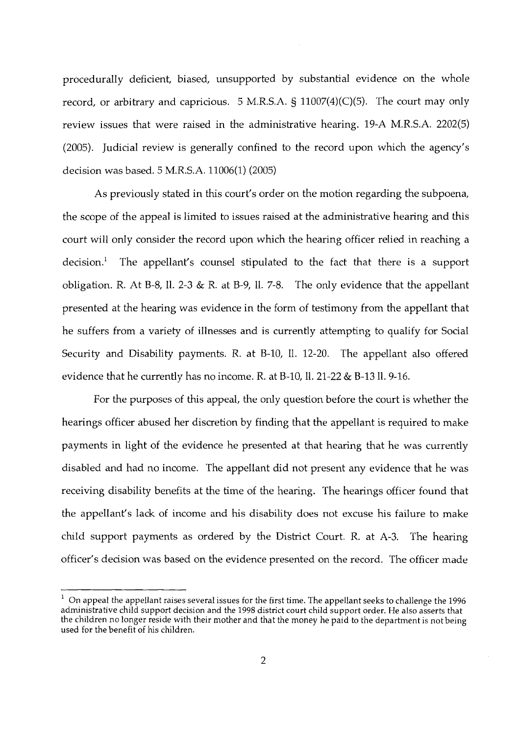procedurally deficient, biased, unsupported by substantial evidence on the whole record, or arbitrary and capricious. 5 M.R.S.A. **9** 11007(4)(C)(5). The court may only review issues that were raised in the administrative hearing. 19-A M.R.S.A. 2202(5) (2005). Judicial review is generally confined to the record upon which the agency's decision was based. 5 M.R.S.A. 11006(1) (2005)

As previously stated in this court's order on the motion regarding the subpoena, the scope of the appeal is limited to issues raised at the administrative hearing and this court will only consider the record upon which the hearing officer relied in reaching a decision.' The appellant's counsel stipulated to the fact that there is a support obligation. R. At B-8, 11. 2-3 & R. at B-9, 11. 7-8. The only evidence that the appellant presented at the hearing was evidence in the form of testimony from the appellant that he suffers from a variety of illnesses and is currently attempting to qualify for Social Security and Disability payments. R. at B-10, 11. 12-20. The appellant also offered evidence that he currently has no income. R. at B-10, II. 21-22 & B-13 II. 9-16.

For the purposes of this appeal, the only question before the court is whether the hearings officer abused her discretion by finding that the appellant is required to make payments in light of the evidence he presented at that hearing that he was currently disabled and had no income. The appellant did not present any evidence that he was receiving disability benefits at the time of the hearing. The hearings officer found that the appellant's lack of income and his disability does not excuse his failure to make chld support payments as ordered by the District Court. R. at **A-3.** The hearing officer's decision was based on the evidence presented on the record. The officer made

<sup>1</sup> On appeal the appellant raises several issues for the first time. The appellant seeks to challenge the 1996 administrative child support decision and the 1998 district court child support order. He also asserts that the children no longer reside with their mother and that the money he paid to the department is not being used for the benefit of his children.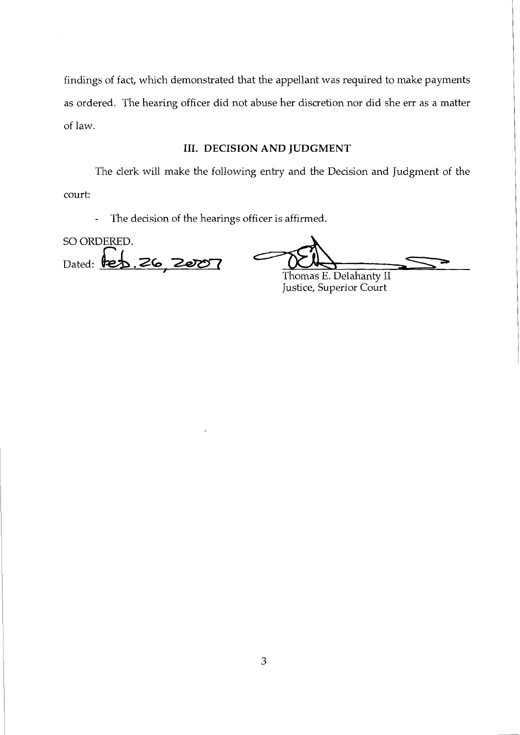findings of fact, which demonstrated that the appellant was required to make payments as ordered. The hearing officer did not abuse her discretion nor did she err as a matter of law.

## **111. DECISION AND JUDGMENT**

The clerk will make the following entry and the Decision and Judgment of the court:

- The decision of the hearings officer is affirmed.

SO ORDERED. Dated: **te** 26

Thomas E. Delahantv I1 **<sup>J</sup>** Justice, Superior Court